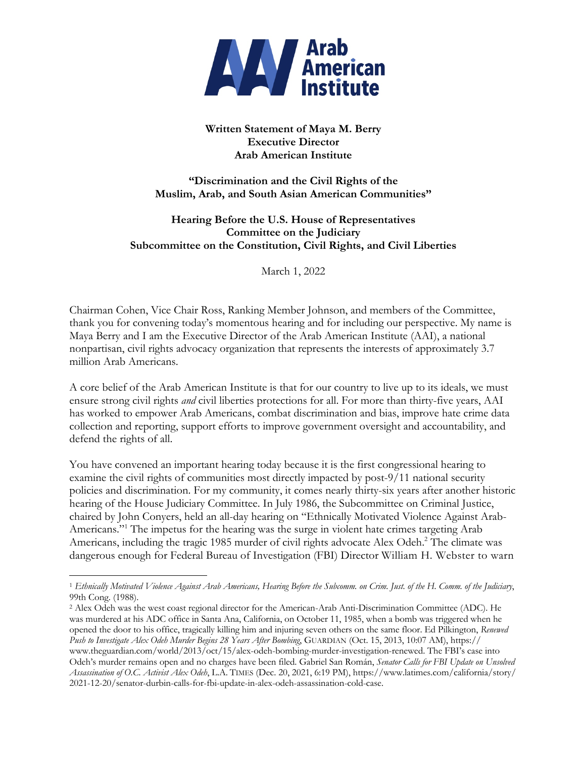

# **Written Statement of Maya M. Berry Executive Director Arab American Institute**

**"Discrimination and the Civil Rights of the Muslim, Arab, and South Asian American Communities"**

**Hearing Before the U.S. House of Representatives Committee on the Judiciary Subcommittee on the Constitution, Civil Rights, and Civil Liberties**

March 1, 2022

Chairman Cohen, Vice Chair Ross, Ranking Member Johnson, and members of the Committee, thank you for convening today's momentous hearing and for including our perspective. My name is Maya Berry and I am the Executive Director of the Arab American Institute (AAI), a national nonpartisan, civil rights advocacy organization that represents the interests of approximately 3.7 million Arab Americans.

A core belief of the Arab American Institute is that for our country to live up to its ideals, we must ensure strong civil rights *and* civil liberties protections for all. For more than thirty-five years, AAI has worked to empower Arab Americans, combat discrimination and bias, improve hate crime data collection and reporting, support efforts to improve government oversight and accountability, and defend the rights of all.

You have convened an important hearing today because it is the first congressional hearing to examine the civil rights of communities most directly impacted by post-9/11 national security policies and discrimination. For my community, it comes nearly thirty-six years after another historic hearing of the House Judiciary Committee. In July 1986, the Subcommittee on Criminal Justice, chaired by John Conyers, held an all-day hearing on "Ethnically Motivated Violence Against Arab-Americans."<sup>1</sup> The impetus for the hearing was the surge in violent hate crimes targeting Arab Americans, including the tragic 1985 murder of civil rights advocate Alex Odeh.<sup>2</sup> The climate was dangerous enough for Federal Bureau of Investigation (FBI) Director William H. Webster to warn

<sup>1</sup> *Ethnically Motivated Violence Against Arab Americans, Hearing Before the Subcomm. on Crim. Just. of the H. Comm. of the Judiciary*, 99th Cong. (1988).

<sup>2</sup> Alex Odeh was the west coast regional director for the American-Arab Anti-Discrimination Committee (ADC). He was murdered at his ADC office in Santa Ana, California, on October 11, 1985, when a bomb was triggered when he opened the door to his office, tragically killing him and injuring seven others on the same floor. Ed Pilkington, *Renewed Push to Investigate Alex Odeh Murder Begins 28 Years After Bombing*, GUARDIAN (Oct. 15, 2013, 10:07 AM), https:// www.theguardian.com/world/2013/oct/15/alex-odeh-bombing-murder-investigation-renewed. The FBI's case into Odeh's murder remains open and no charges have been filed. Gabriel San Román, *Senator Calls for FBI Update on Unsolved Assassination of O.C. Activist Alex Odeh*, L.A. TIMES (Dec. 20, 2021, 6:19 PM), https://www.latimes.com/california/story/ 2021-12-20/senator-durbin-calls-for-fbi-update-in-alex-odeh-assassination-cold-case.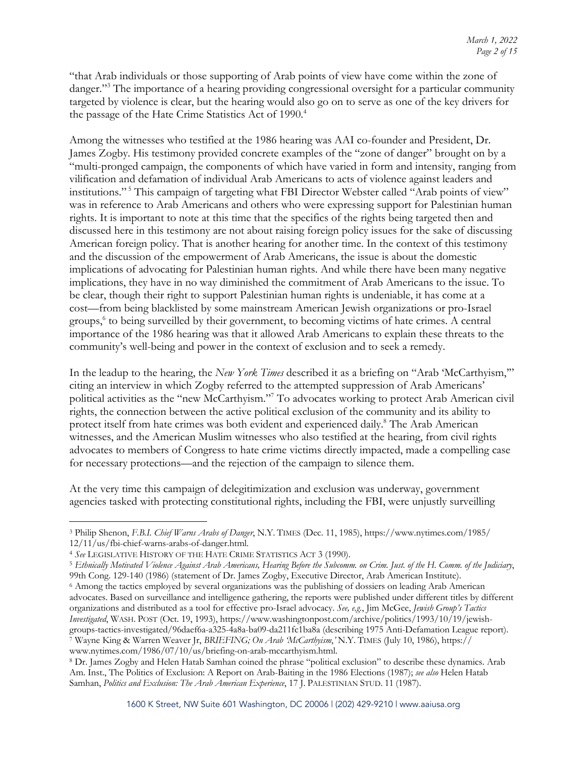"that Arab individuals or those supporting of Arab points of view have come within the zone of danger."<sup>3</sup> The importance of a hearing providing congressional oversight for a particular community targeted by violence is clear, but the hearing would also go on to serve as one of the key drivers for the passage of the Hate Crime Statistics Act of 1990.<sup>4</sup>

Among the witnesses who testified at the 1986 hearing was AAI co-founder and President, Dr. James Zogby. His testimony provided concrete examples of the "zone of danger" brought on by a "multi-pronged campaign, the components of which have varied in form and intensity, ranging from vilification and defamation of individual Arab Americans to acts of violence against leaders and institutions."<sup>5</sup> This campaign of targeting what FBI Director Webster called "Arab points of view" was in reference to Arab Americans and others who were expressing support for Palestinian human rights. It is important to note at this time that the specifics of the rights being targeted then and discussed here in this testimony are not about raising foreign policy issues for the sake of discussing American foreign policy. That is another hearing for another time. In the context of this testimony and the discussion of the empowerment of Arab Americans, the issue is about the domestic implications of advocating for Palestinian human rights. And while there have been many negative implications, they have in no way diminished the commitment of Arab Americans to the issue. To be clear, though their right to support Palestinian human rights is undeniable, it has come at a cost—from being blacklisted by some mainstream American Jewish organizations or pro-Israel groups, <sup>6</sup> to being surveilled by their government, to becoming victims of hate crimes. A central importance of the 1986 hearing was that it allowed Arab Americans to explain these threats to the community's well-being and power in the context of exclusion and to seek a remedy.

In the leadup to the hearing, the *New York Times* described it as a briefing on "Arab 'McCarthyism,'" citing an interview in which Zogby referred to the attempted suppression of Arab Americans' political activities as the "new McCarthyism."7 To advocates working to protect Arab American civil rights, the connection between the active political exclusion of the community and its ability to protect itself from hate crimes was both evident and experienced daily.<sup>8</sup> The Arab American witnesses, and the American Muslim witnesses who also testified at the hearing, from civil rights advocates to members of Congress to hate crime victims directly impacted, made a compelling case for necessary protections—and the rejection of the campaign to silence them.

At the very time this campaign of delegitimization and exclusion was underway, government agencies tasked with protecting constitutional rights, including the FBI, were unjustly surveilling

<sup>3</sup> Philip Shenon, *F.B.I. Chief Warns Arabs of Danger*, N.Y. TIMES (Dec. 11, 1985), https://www.nytimes.com/1985/ 12/11/us/fbi-chief-warns-arabs-of-danger.html.

<sup>4</sup> *See* LEGISLATIVE HISTORY OF THE HATE CRIME STATISTICS ACT 3 (1990).

<sup>5</sup> *Ethnically Motivated Violence Against Arab Americans, Hearing Before the Subcomm. on Crim. Just. of the H. Comm. of the Judiciary*, 99th Cong. 129-140 (1986) (statement of Dr. James Zogby, Executive Director, Arab American Institute).

<sup>6</sup> Among the tactics employed by several organizations was the publishing of dossiers on leading Arab American advocates. Based on surveillance and intelligence gathering, the reports were published under different titles by different organizations and distributed as a tool for effective pro-Israel advocacy. *See, e.g.*, Jim McGee, *Jewish Group's Tactics Investigated*, WASH. POST (Oct. 19, 1993), https://www.washingtonpost.com/archive/politics/1993/10/19/jewishgroups-tactics-investigated/96daef6a-a325-4a8a-ba09-da211fc1ba8a (describing 1975 Anti-Defamation League report). <sup>7</sup> Wayne King & Warren Weaver Jr, *BRIEFING; On Arab 'McCarthyism*,*'* N.Y. TIMES (July 10, 1986), https://

www.nytimes.com/1986/07/10/us/briefing-on-arab-mccarthyism.html.<br><sup>8</sup> Dr. James Zogby and Helen Hatab Samhan coined the phrase "political exclusion" to describe these dynamics. Arab Am. Inst., The Politics of Exclusion: A Report on Arab-Baiting in the 1986 Elections (1987); *see also* Helen Hatab Samhan, *Politics and Exclusion: The Arab American Experience*, 17 J. PALESTINIAN STUD. 11 (1987).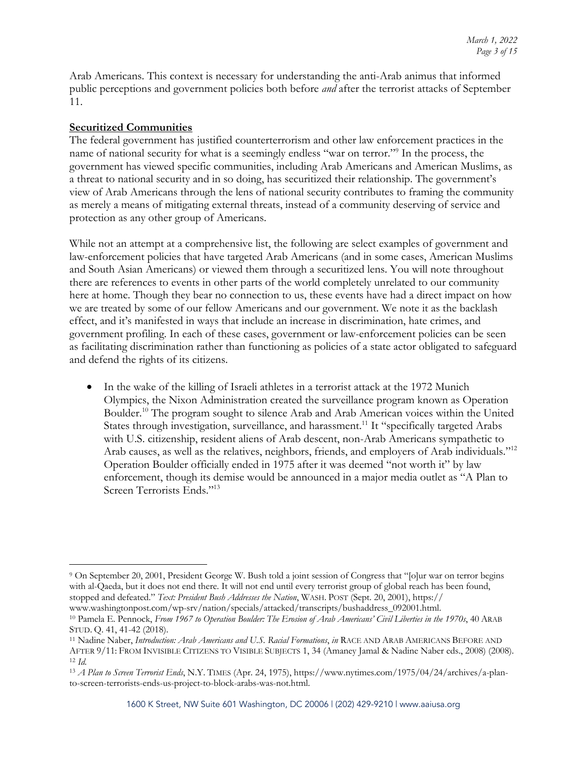Arab Americans. This context is necessary for understanding the anti-Arab animus that informed public perceptions and government policies both before *and* after the terrorist attacks of September 11.

#### **Securitized Communities**

The federal government has justified counterterrorism and other law enforcement practices in the name of national security for what is a seemingly endless "war on terror."9 In the process, the government has viewed specific communities, including Arab Americans and American Muslims, as a threat to national security and in so doing, has securitized their relationship. The government's view of Arab Americans through the lens of national security contributes to framing the community as merely a means of mitigating external threats, instead of a community deserving of service and protection as any other group of Americans.

While not an attempt at a comprehensive list, the following are select examples of government and law-enforcement policies that have targeted Arab Americans (and in some cases, American Muslims and South Asian Americans) or viewed them through a securitized lens. You will note throughout there are references to events in other parts of the world completely unrelated to our community here at home. Though they bear no connection to us, these events have had a direct impact on how we are treated by some of our fellow Americans and our government. We note it as the backlash effect, and it's manifested in ways that include an increase in discrimination, hate crimes, and government profiling. In each of these cases, government or law-enforcement policies can be seen as facilitating discrimination rather than functioning as policies of a state actor obligated to safeguard and defend the rights of its citizens.

• In the wake of the killing of Israeli athletes in a terrorist attack at the 1972 Munich Olympics, the Nixon Administration created the surveillance program known as Operation Boulder. <sup>10</sup> The program sought to silence Arab and Arab American voices within the United States through investigation, surveillance, and harassment.<sup>11</sup> It "specifically targeted Arabs with U.S. citizenship, resident aliens of Arab descent, non-Arab Americans sympathetic to Arab causes, as well as the relatives, neighbors, friends, and employers of Arab individuals."<sup>12</sup> Operation Boulder officially ended in 1975 after it was deemed "not worth it" by law enforcement, though its demise would be announced in a major media outlet as "A Plan to Screen Terrorists Ends."<sup>13</sup>

<sup>9</sup> On September 20, 2001, President George W. Bush told a joint session of Congress that "[o]ur war on terror begins with al-Qaeda, but it does not end there. It will not end until every terrorist group of global reach has been found, stopped and defeated." *Text: President Bush Addresses the Nation*, WASH. POST (Sept. 20, 2001), https:// www.washingtonpost.com/wp-srv/nation/specials/attacked/transcripts/bushaddress\_092001.html.

<sup>10</sup> Pamela E. Pennock, *From 1967 to Operation Boulder: The Erosion of Arab Americans' Civil Liberties in the 1970s*, 40 ARAB STUD. Q. 41, 41-42 (2018).

<sup>11</sup> Nadine Naber, *Introduction: Arab Americans and U.S. Racial Formations*, *in* RACE AND ARAB AMERICANS BEFORE AND AFTER 9/11: FROM INVISIBLE CITIZENS TO VISIBLE SUBJECTS 1, 34 (Amaney Jamal & Nadine Naber eds., 2008) (2008). <sup>12</sup> *Id.*

<sup>13</sup> *A Plan to Screen Terrorist Ends*, N.Y. TIMES (Apr. 24, 1975), https://www.nytimes.com/1975/04/24/archives/a-planto-screen-terrorists-ends-us-project-to-block-arabs-was-not.html.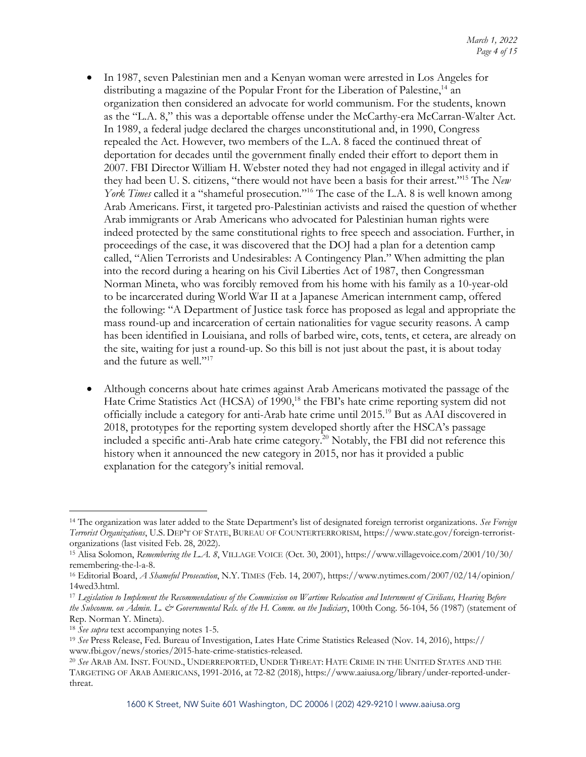- In 1987, seven Palestinian men and a Kenyan woman were arrested in Los Angeles for distributing a magazine of the Popular Front for the Liberation of Palestine,<sup>14</sup> an organization then considered an advocate for world communism. For the students, known as the "L.A. 8," this was a deportable offense under the McCarthy-era McCarran-Walter Act. In 1989, a federal judge declared the charges unconstitutional and, in 1990, Congress repealed the Act. However, two members of the L.A. 8 faced the continued threat of deportation for decades until the government finally ended their effort to deport them in 2007. FBI Director William H. Webster noted they had not engaged in illegal activity and if they had been U. S. citizens, "there would not have been a basis for their arrest."15 The *New York Times* called it a "shameful prosecution."<sup>16</sup> The case of the L.A. 8 is well known among Arab Americans. First, it targeted pro-Palestinian activists and raised the question of whether Arab immigrants or Arab Americans who advocated for Palestinian human rights were indeed protected by the same constitutional rights to free speech and association. Further, in proceedings of the case, it was discovered that the DOJ had a plan for a detention camp called, "Alien Terrorists and Undesirables: A Contingency Plan." When admitting the plan into the record during a hearing on his Civil Liberties Act of 1987, then Congressman Norman Mineta, who was forcibly removed from his home with his family as a 10-year-old to be incarcerated during World War II at a Japanese American internment camp, offered the following: "A Department of Justice task force has proposed as legal and appropriate the mass round-up and incarceration of certain nationalities for vague security reasons. A camp has been identified in Louisiana, and rolls of barbed wire, cots, tents, et cetera, are already on the site, waiting for just a round-up. So this bill is not just about the past, it is about today and the future as well."<sup>17</sup>
- Although concerns about hate crimes against Arab Americans motivated the passage of the Hate Crime Statistics Act (HCSA) of 1990,<sup>18</sup> the FBI's hate crime reporting system did not officially include a category for anti-Arab hate crime until 2015.19 But as AAI discovered in 2018, prototypes for the reporting system developed shortly after the HSCA's passage included a specific anti-Arab hate crime category.<sup>20</sup> Notably, the FBI did not reference this history when it announced the new category in 2015, nor has it provided a public explanation for the category's initial removal.

<sup>14</sup> The organization was later added to the State Department's list of designated foreign terrorist organizations. *See Foreign Terrorist Organizations*, U.S. DEP'T OF STATE, BUREAU OF COUNTERTERRORISM, https://www.state.gov/foreign-terroristorganizations (last visited Feb. 28, 2022). 15 Alisa Solomon, *Remembering the L.A. <sup>8</sup>*, VILLAGE VOICE (Oct. 30, 2001), https://www.villagevoice.com/2001/10/30/

remembering-the-l-a-8.

<sup>16</sup> Editorial Board, *A Shameful Prosecution*, N.Y. TIMES (Feb. 14, 2007), https://www.nytimes.com/2007/02/14/opinion/

<sup>14</sup>wed3.html. 17 *Legislation to Implement the Recommendations of the Commission on Wartime Relocation and Internment of Civilians, Hearing Before the Subcomm. on Admin. L. & Governmental Rels. of the H. Comm. on the Judiciary*, 100th Cong. 56-104, 56 (1987) (statement of Rep. Norman Y. Mineta).

<sup>18</sup> *See supra* text accompanying notes 1-5.

<sup>19</sup> *See* Press Release, Fed. Bureau of Investigation, Lates Hate Crime Statistics Released (Nov. 14, 2016), https:// www.fbi.gov/news/stories/2015-hate-crime-statistics-released. 20 *See* ARAB AM. INST. FOUND., UNDERREPORTED, UNDER THREAT: HATE CRIME IN THE UNITED STATES AND THE

TARGETING OF ARAB AMERICANS, 1991-2016, at 72-82 (2018), https://www.aaiusa.org/library/under-reported-underthreat.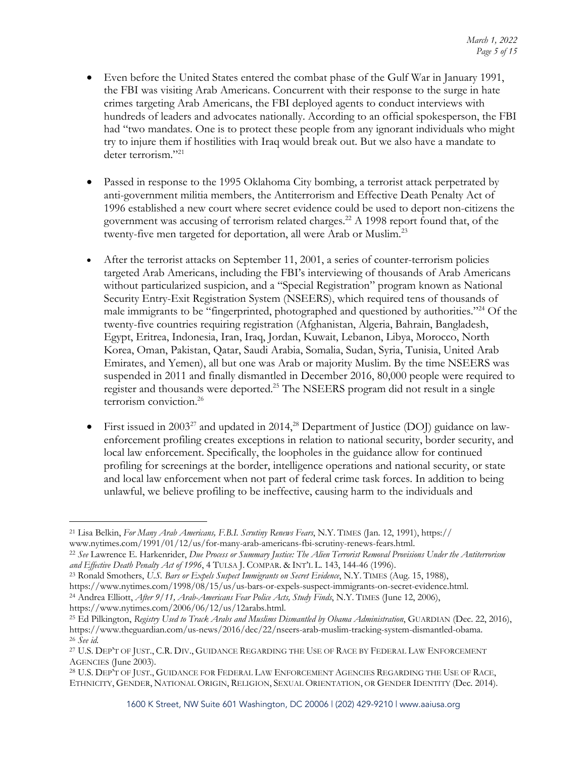- Even before the United States entered the combat phase of the Gulf War in January 1991, the FBI was visiting Arab Americans. Concurrent with their response to the surge in hate crimes targeting Arab Americans, the FBI deployed agents to conduct interviews with hundreds of leaders and advocates nationally. According to an official spokesperson, the FBI had "two mandates. One is to protect these people from any ignorant individuals who might try to injure them if hostilities with Iraq would break out. But we also have a mandate to deter terrorism."<sup>21</sup>
- Passed in response to the 1995 Oklahoma City bombing, a terrorist attack perpetrated by anti-government militia members, the Antiterrorism and Effective Death Penalty Act of 1996 established a new court where secret evidence could be used to deport non-citizens the government was accusing of terrorism related charges.<sup>22</sup> A 1998 report found that, of the twenty-five men targeted for deportation, all were Arab or Muslim.<sup>23</sup>
- After the terrorist attacks on September 11, 2001, a series of counter-terrorism policies targeted Arab Americans, including the FBI's interviewing of thousands of Arab Americans without particularized suspicion, and a "Special Registration" program known as National Security Entry-Exit Registration System (NSEERS), which required tens of thousands of male immigrants to be "fingerprinted, photographed and questioned by authorities."24 Of the twenty-five countries requiring registration (Afghanistan, Algeria, Bahrain, Bangladesh, Egypt, Eritrea, Indonesia, Iran, Iraq, Jordan, Kuwait, Lebanon, Libya, Morocco, North Korea, Oman, Pakistan, Qatar, Saudi Arabia, Somalia, Sudan, Syria, Tunisia, United Arab Emirates, and Yemen), all but one was Arab or majority Muslim. By the time NSEERS was suspended in 2011 and finally dismantled in December 2016, 80,000 people were required to register and thousands were deported.25 The NSEERS program did not result in a single terrorism conviction<sup>26</sup>
- First issued in 2003<sup>27</sup> and updated in 2014,<sup>28</sup> Department of Justice (DOJ) guidance on lawenforcement profiling creates exceptions in relation to national security, border security, and local law enforcement. Specifically, the loopholes in the guidance allow for continued profiling for screenings at the border, intelligence operations and national security, or state and local law enforcement when not part of federal crime task forces. In addition to being unlawful, we believe profiling to be ineffective, causing harm to the individuals and

https://www.nytimes.com/2006/06/12/us/12arabs.html.

<sup>21</sup> Lisa Belkin, *For Many Arab Americans, F.B.I. Scrutiny Renews Fears*, N.Y. TIMES (Jan. 12, 1991), https:// www.nytimes.com/1991/01/12/us/for-many-arab-americans-fbi-scrutiny-renews-fears.html.

<sup>22</sup> *See* Lawrence E. Harkenrider, *Due Process or Summary Justice: The Alien Terrorist Removal Provisions Under the Antiterrorism and Effective Death Penalty Act of 1996*, 4 TULSA J. COMPAR. & INT'L L. 143, 144-46 (1996).

<sup>23</sup> Ronald Smothers, *U.S. Bars or Expels Suspect Immigrants on Secret Evidence*, N.Y. TIMES (Aug. 15, 1988), https://www.nytimes.com/1998/08/15/us/us-bars-or-expels-suspect-immigrants-on-secret-evidence.html. <sup>24</sup> Andrea Elliott, *After 9/11, Arab-Americans Fear Police Acts, Study Finds*, N.Y. TIMES (June 12, 2006),

<sup>25</sup> Ed Pilkington, *Registry Used to Track Arabs and Muslims Dismantled by Obama Administration*, GUARDIAN (Dec. 22, 2016), https://www.theguardian.com/us-news/2016/dec/22/nseers-arab-muslim-tracking-system-dismantled-obama. <sup>26</sup> *See id.* 

<sup>27</sup> U.S. DEP'T OF JUST., C.R. DIV., GUIDANCE REGARDING THE USE OF RACE BY FEDERAL LAW ENFORCEMENT AGENCIES (June 2003).

<sup>28</sup> U.S. DEP'T OF JUST., GUIDANCE FOR FEDERAL LAW ENFORCEMENT AGENCIES REGARDING THE USE OF RACE, ETHNICITY, GENDER, NATIONAL ORIGIN, RELIGION, SEXUAL ORIENTATION, OR GENDER IDENTITY (Dec. 2014).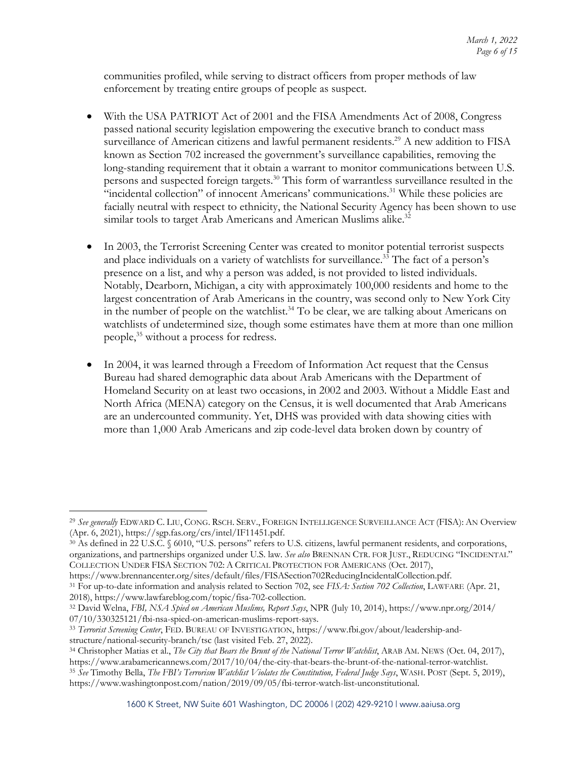communities profiled, while serving to distract officers from proper methods of law enforcement by treating entire groups of people as suspect.

- With the USA PATRIOT Act of 2001 and the FISA Amendments Act of 2008, Congress passed national security legislation empowering the executive branch to conduct mass surveillance of American citizens and lawful permanent residents.<sup>29</sup> A new addition to FISA known as Section 702 increased the government's surveillance capabilities, removing the long-standing requirement that it obtain a warrant to monitor communications between U.S. persons and suspected foreign targets. <sup>30</sup> This form of warrantless surveillance resulted in the "incidental collection" of innocent Americans' communications.<sup>31</sup> While these policies are facially neutral with respect to ethnicity, the National Security Agency has been shown to use similar tools to target Arab Americans and American Muslims alike.<sup>32</sup>
- In 2003, the Terrorist Screening Center was created to monitor potential terrorist suspects and place individuals on a variety of watchlists for surveillance.<sup>33</sup> The fact of a person's presence on a list, and why a person was added, is not provided to listed individuals. Notably, Dearborn, Michigan, a city with approximately 100,000 residents and home to the largest concentration of Arab Americans in the country, was second only to New York City in the number of people on the watchlist.<sup>34</sup> To be clear, we are talking about Americans on watchlists of undetermined size, though some estimates have them at more than one million people, <sup>35</sup> without a process for redress.
- In 2004, it was learned through a Freedom of Information Act request that the Census Bureau had shared demographic data about Arab Americans with the Department of Homeland Security on at least two occasions, in 2002 and 2003. Without a Middle East and North Africa (MENA) category on the Census, it is well documented that Arab Americans are an undercounted community. Yet, DHS was provided with data showing cities with more than 1,000 Arab Americans and zip code-level data broken down by country of

<sup>29</sup> *See generally* EDWARD C. LIU, CONG. RSCH. SERV., FOREIGN INTELLIGENCE SURVEILLANCE ACT (FISA): AN Overview (Apr. 6, 2021), https://sgp.fas.org/crs/intel/IF11451.pdf.

<sup>30</sup> As defined in 22 U.S.C. § 6010, "U.S. persons" refers to U.S. citizens, lawful permanent residents, and corporations, organizations, and partnerships organized under U.S. law. *See also* BRENNAN CTR. FOR JUST., REDUCING "INCIDENTAL" COLLECTION UNDER FISA SECTION 702: A CRITICAL PROTECTION FOR AMERICANS (Oct. 2017),

https://www.brennancenter.org/sites/default/files/FISASection702ReducingIncidentalCollection.pdf.

<sup>31</sup> For up-to-date information and analysis related to Section 702, see *FISA: Section 702 Collection*, LAWFARE (Apr. 21, 2018), https://www.lawfareblog.com/topic/fisa-702-collection. 32 David Welna, *FBI, NSA Spied on American Muslims, Report Says*, NPR (July 10, 2014), https://www.npr.org/2014/

<sup>07/10/330325121/</sup>fbi-nsa-spied-on-american-muslims-report-says.

<sup>33</sup> *Terrorist Screening Center*, FED. BUREAU OF INVESTIGATION, https://www.fbi.gov/about/leadership-andstructure/national-security-branch/tsc (last visited Feb. 27, 2022).

<sup>34</sup> Christopher Matias et al., *The City that Bears the Brunt of the National Terror Watchlist*, ARAB AM. NEWS (Oct. 04, 2017), https://www.arabamericannews.com/2017/10/04/the-city-that-bears-the-brunt-of-the-national-terror-watchlist.

<sup>35</sup> *See* Timothy Bella, *The FBI's Terrorism Watchlist Violates the Constitution, Federal Judge Says*, WASH. POST (Sept. 5, 2019), https://www.washingtonpost.com/nation/2019/09/05/fbi-terror-watch-list-unconstitutional.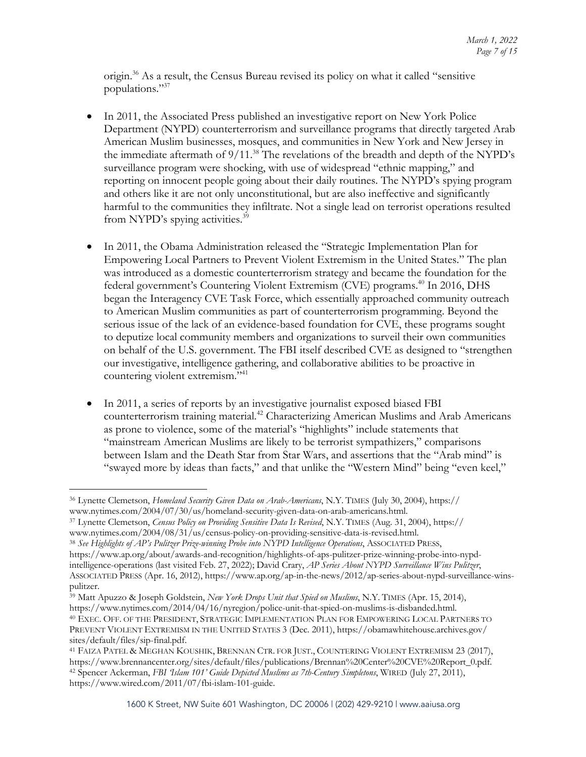origin.<sup>36</sup> As a result, the Census Bureau revised its policy on what it called "sensitive populations."37

- In 2011, the Associated Press published an investigative report on New York Police Department (NYPD) counterterrorism and surveillance programs that directly targeted Arab American Muslim businesses, mosques, and communities in New York and New Jersey in the immediate aftermath of 9/11. <sup>38</sup> The revelations of the breadth and depth of the NYPD's surveillance program were shocking, with use of widespread "ethnic mapping," and reporting on innocent people going about their daily routines. The NYPD's spying program and others like it are not only unconstitutional, but are also ineffective and significantly harmful to the communities they infiltrate. Not a single lead on terrorist operations resulted from NYPD's spying activities.<sup>39</sup>
- In 2011, the Obama Administration released the "Strategic Implementation Plan for Empowering Local Partners to Prevent Violent Extremism in the United States." The plan was introduced as a domestic counterterrorism strategy and became the foundation for the federal government's Countering Violent Extremism (CVE) programs.<sup>40</sup> In 2016, DHS began the Interagency CVE Task Force, which essentially approached community outreach to American Muslim communities as part of counterterrorism programming. Beyond the serious issue of the lack of an evidence-based foundation for CVE, these programs sought to deputize local community members and organizations to surveil their own communities on behalf of the U.S. government. The FBI itself described CVE as designed to "strengthen our investigative, intelligence gathering, and collaborative abilities to be proactive in countering violent extremism."41
- In 2011, a series of reports by an investigative journalist exposed biased FBI counterterrorism training material. <sup>42</sup> Characterizing American Muslims and Arab Americans as prone to violence, some of the material's "highlights" include statements that "mainstream American Muslims are likely to be terrorist sympathizers," comparisons between Islam and the Death Star from Star Wars, and assertions that the "Arab mind" is "swayed more by ideas than facts," and that unlike the "Western Mind" being "even keel,"

<sup>37</sup> Lynette Clemetson, *Census Policy on Providing Sensitive Data Is Revised*, N.Y. TIMES (Aug. 31, 2004), https:// www.nytimes.com/2004/08/31/us/census-policy-on-providing-sensitive-data-is-revised.html.

<sup>38</sup> *See Highlights of AP's Pulitzer Prize-winning Probe into NYPD Intelligence Operations*, ASSOCIATED PRESS, https://www.ap.org/about/awards-and-recognition/highlights-of-aps-pulitzer-prize-winning-probe-into-nypdintelligence-operations (last visited Feb. 27, 2022); David Crary, *AP Series About NYPD Surveillance Wins Pulitzer*, ASSOCIATED PRESS (Apr. 16, 2012), https://www.ap.org/ap-in-the-news/2012/ap-series-about-nypd-surveillance-winspulitzer.

<sup>39</sup> Matt Apuzzo & Joseph Goldstein, *New York Drops Unit that Spied on Muslims*, N.Y. TIMES (Apr. 15, 2014), https://www.nytimes.com/2014/04/16/nyregion/police-unit-that-spied-on-muslims-is-disbanded.html. 40 EXEC. OFF. OF THE PRESIDENT, STRATEGIC IMPLEMENTATION PLAN FOR EMPOWERING LOCAL PARTNERS TO PREVENT VIOLENT EXTREMISM IN THE UNITED STATES 3 (Dec. 2011), https://obamawhitehouse.archives.gov/ sites/default/files/sip-final.pdf.

<sup>36</sup> Lynette Clemetson, *Homeland Security Given Data on Arab-Americans*, N.Y. TIMES (July 30, 2004), https:// www.nytimes.com/2004/07/30/us/homeland-security-given-data-on-arab-americans.html.

<sup>41</sup> FAIZA PATEL & MEGHAN KOUSHIK, BRENNAN CTR. FOR JUST., COUNTERING VIOLENT EXTREMISM 23 (2017), https://www.brennancenter.org/sites/default/files/publications/Brennan%20Center%20CVE%20Report\_0.pdf. <sup>42</sup> Spencer Ackerman, *FBI 'Islam 101' Guide Depicted Muslims as 7th-Century Simpletons*, WIRED (July 27, 2011), https://www.wired.com/2011/07/fbi-islam-101-guide.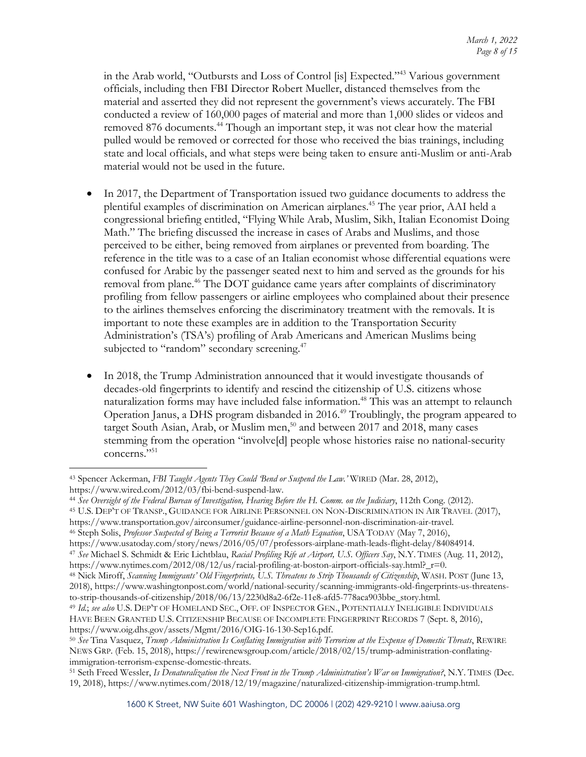in the Arab world, "Outbursts and Loss of Control [is] Expected."43 Various government officials, including then FBI Director Robert Mueller, distanced themselves from the material and asserted they did not represent the government's views accurately. The FBI conducted a review of 160,000 pages of material and more than 1,000 slides or videos and removed 876 documents. <sup>44</sup> Though an important step, it was not clear how the material pulled would be removed or corrected for those who received the bias trainings, including state and local officials, and what steps were being taken to ensure anti-Muslim or anti-Arab material would not be used in the future.

- In 2017, the Department of Transportation issued two guidance documents to address the plentiful examples of discrimination on American airplanes. <sup>45</sup> The year prior, AAI held a congressional briefing entitled, "Flying While Arab, Muslim, Sikh, Italian Economist Doing Math." The briefing discussed the increase in cases of Arabs and Muslims, and those perceived to be either, being removed from airplanes or prevented from boarding. The reference in the title was to a case of an Italian economist whose differential equations were confused for Arabic by the passenger seated next to him and served as the grounds for his removal from plane. <sup>46</sup> The DOT guidance came years after complaints of discriminatory profiling from fellow passengers or airline employees who complained about their presence to the airlines themselves enforcing the discriminatory treatment with the removals. It is important to note these examples are in addition to the Transportation Security Administration's (TSA's) profiling of Arab Americans and American Muslims being subjected to "random" secondary screening.<sup>47</sup>
- In 2018, the Trump Administration announced that it would investigate thousands of decades-old fingerprints to identify and rescind the citizenship of U.S. citizens whose naturalization forms may have included false information.<sup>48</sup> This was an attempt to relaunch Operation Janus, a DHS program disbanded in 2016.49 Troublingly, the program appeared to target South Asian, Arab, or Muslim men, <sup>50</sup> and between 2017 and 2018, many cases stemming from the operation "involve[d] people whose histories raise no national-security concerns."<sup>51</sup>

https://www.transportation.gov/airconsumer/guidance-airline-personnel-non-discrimination-air-travel.<br><sup>46</sup> Steph Solis, *Professor Suspected of Being a Terrorist Because of a Math Equation*, USA TODAY (May 7, 2016),<br>https:/

<sup>47</sup> See Michael S. Schmidt & Eric Lichtblau, Racial Profiling Rife at Airport, U.S. Officers Say, N.Y. TIMES (Aug. 11, 2012),

<sup>43</sup> Spencer Ackerman, *FBI Taught Agents They Could 'Bend or Suspend the Law*.*'* WIRED (Mar. 28, 2012),

https://www.wired.com/2012/03/fbi-bend-suspend-law. 44 *See Oversight of the Federal Bureau of Investigation, Hearing Before the H. Comm. on the Judiciary*, 112th Cong. (2012).

<sup>45</sup> U.S. DEP'T OF TRANSP., GUIDANCE FOR AIRLINE PERSONNEL ON NON-DISCRIMINATION IN AIR TRAVEL (2017),

https://www.nytimes.com/2012/08/12/us/racial-profiling-at-boston-airport-officials-say.html?\_r=0.<br><sup>48</sup> Nick Miroff, *Scanning Immigrants' Old Fingerprints*, U.S. Threatens to Strip Thousands of Citizenship, WASH. POST (Jun 2018), https://www.washingtonpost.com/world/national-security/scanning-immigrants-old-fingerprints-us-threatensto-strip-thousands-of-citizenship/2018/06/13/2230d8a2-6f2e-11e8-afd5-778aca903bbe\_story.html.

<sup>49</sup> *Id.*; *see also* U.S. DEP'T OF HOMELAND SEC., OFF. OF INSPECTOR GEN., POTENTIALLY INELIGIBLE INDIVIDUALS HAVE BEEN GRANTED U.S. CITIZENSHIP BECAUSE OF INCOMPLETE FINGERPRINT RECORDS 7 (Sept. 8, 2016),

https://www.oig.dhs.gov/assets/Mgmt/2016/OIG-16-130-Sep16.pdf. 50 *See* Tina Vasquez, *Trump Administration Is Conflating Immigration with Terrorism at the Expense of Domestic Threats*, REWIRE NEWS GRP. (Feb. 15, 2018), https://rewirenewsgroup.com/article/2018/02/15/trump-administration-conflatingimmigration-terrorism-expense-domestic-threats.

<sup>51</sup> Seth Freed Wessler, *Is Denaturalization the Next Front in the Trump Administration's War on Immigration?*, N.Y. TIMES (Dec. 19, 2018), https://www.nytimes.com/2018/12/19/magazine/naturalized-citizenship-immigration-trump.html.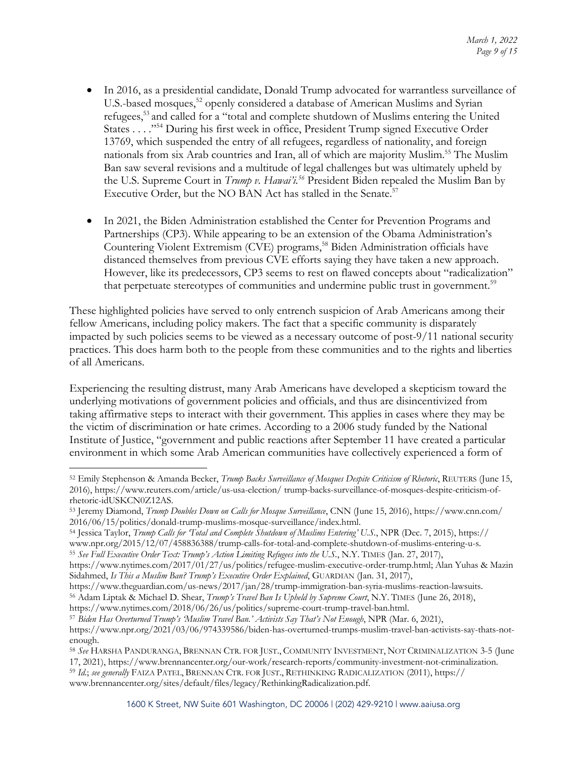- In 2016, as a presidential candidate, Donald Trump advocated for warrantless surveillance of U.S.-based mosques,<sup>52</sup> openly considered a database of American Muslims and Syrian refugees,53 and called for a "total and complete shutdown of Muslims entering the United States . . . ."54 During his first week in office, President Trump signed Executive Order 13769, which suspended the entry of all refugees, regardless of nationality, and foreign nationals from six Arab countries and Iran, all of which are majority Muslim. <sup>55</sup> The Muslim Ban saw several revisions and a multitude of legal challenges but was ultimately upheld by the U.S. Supreme Court in *Trump v. Hawai'i.56* President Biden repealed the Muslim Ban by Executive Order, but the NO BAN Act has stalled in the Senate.<sup>57</sup>
- In 2021, the Biden Administration established the Center for Prevention Programs and Partnerships (CP3). While appearing to be an extension of the Obama Administration's Countering Violent Extremism (CVE) programs, <sup>58</sup> Biden Administration officials have distanced themselves from previous CVE efforts saying they have taken a new approach. However, like its predecessors, CP3 seems to rest on flawed concepts about "radicalization" that perpetuate stereotypes of communities and undermine public trust in government.59

These highlighted policies have served to only entrench suspicion of Arab Americans among their fellow Americans, including policy makers. The fact that a specific community is disparately impacted by such policies seems to be viewed as a necessary outcome of post-9/11 national security practices. This does harm both to the people from these communities and to the rights and liberties of all Americans.

Experiencing the resulting distrust, many Arab Americans have developed a skepticism toward the underlying motivations of government policies and officials, and thus are disincentivized from taking affirmative steps to interact with their government. This applies in cases where they may be the victim of discrimination or hate crimes. According to a 2006 study funded by the National Institute of Justice, "government and public reactions after September 11 have created a particular environment in which some Arab American communities have collectively experienced a form of

<sup>54</sup> Jessica Taylor, *Trump Calls for 'Total and Complete Shutdown of Muslims Entering' U.S.*, NPR (Dec. 7, 2015), https:// www.npr.org/2015/12/07/458836388/trump-calls-for-total-and-complete-shutdown-of-muslims-entering-u-s.<br><sup>55</sup> See Full Executive Order Text: Trump's Action Limiting Refugees into the U.S., N.Y. TIMES (Jan. 27, 2017),

<sup>56</sup> Adam Liptak & Michael D. Shear, *Trump's Travel Ban Is Upheld by Supreme Court*, N.Y. TIMES (June 26, 2018),

https://www.nytimes.com/2018/06/26/us/politics/supreme-court-trump-travel-ban.html. 57 *Biden Has Overturned Trump's 'Muslim Travel Ban.' Activists Say That's Not Enough*, NPR (Mar. 6, 2021),

https://www.npr.org/2021/03/06/974339586/biden-has-overturned-trumps-muslim-travel-ban-activists-say-thats-not-

<sup>59</sup> *Id.*; *see generally* FAIZA PATEL, BRENNAN CTR. FOR JUST., RETHINKING RADICALIZATION (2011), https:// www.brennancenter.org/sites/default/files/legacy/RethinkingRadicalization.pdf.

<sup>52</sup> Emily Stephenson & Amanda Becker, *Trump Backs Surveillance of Mosques Despite Criticism of Rhetoric*, REUTERS (June 15, 2016), https://www.reuters.com/article/us-usa-election/ trump-backs-surveillance-of-mosques-despite-criticism-ofrhetoric-idUSKCN0Z12AS.

<sup>53</sup> Jeremy Diamond, *Trump Doubles Down on Calls for Mosque Surveillance*, CNN (June 15, 2016), https://www.cnn.com/ 2016/06/15/politics/donald-trump-muslims-mosque-surveillance/index.html.

https://www.nytimes.com/2017/01/27/us/politics/refugee-muslim-executive-order-trump.html; Alan Yuhas & Mazin Sidahmed, *Is This a Muslim Ban? Trump's Executive Order Explained*, GUARDIAN (Jan. 31, 2017),

https://www.theguardian.com/us-news/2017/jan/28/trump-immigration-ban-syria-muslims-reaction-lawsuits.

enough.

<sup>58</sup> *See* HARSHA PANDURANGA, BRENNAN CTR. FOR JUST., COMMUNITY INVESTMENT, NOT CRIMINALIZATION 3-5 (June 17, 2021), https://www.brennancenter.org/our-work/research-reports/community-investment-not-criminalization.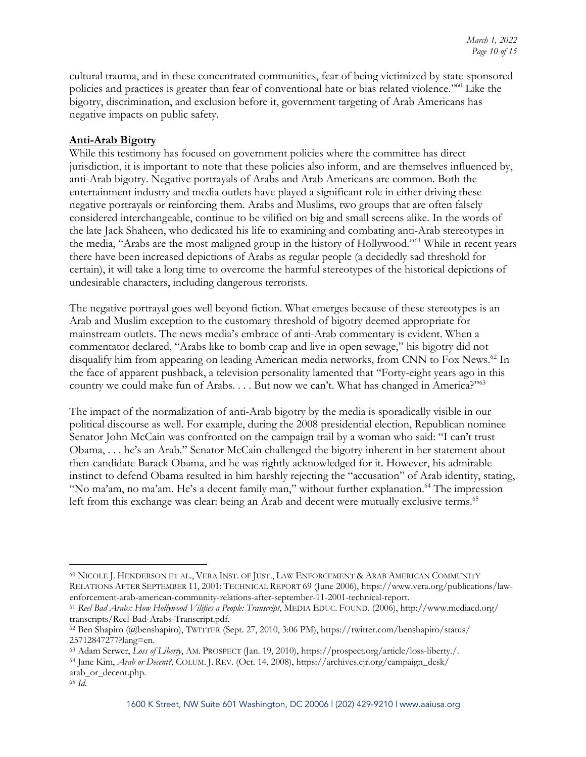cultural trauma, and in these concentrated communities, fear of being victimized by state-sponsored policies and practices is greater than fear of conventional hate or bias related violence."60 Like the bigotry, discrimination, and exclusion before it, government targeting of Arab Americans has negative impacts on public safety.

### **Anti-Arab Bigotry**

While this testimony has focused on government policies where the committee has direct jurisdiction, it is important to note that these policies also inform, and are themselves influenced by, anti-Arab bigotry. Negative portrayals of Arabs and Arab Americans are common. Both the entertainment industry and media outlets have played a significant role in either driving these negative portrayals or reinforcing them. Arabs and Muslims, two groups that are often falsely considered interchangeable, continue to be vilified on big and small screens alike. In the words of the late Jack Shaheen, who dedicated his life to examining and combating anti-Arab stereotypes in the media, "Arabs are the most maligned group in the history of Hollywood."61 While in recent years there have been increased depictions of Arabs as regular people (a decidedly sad threshold for certain), it will take a long time to overcome the harmful stereotypes of the historical depictions of undesirable characters, including dangerous terrorists.

The negative portrayal goes well beyond fiction. What emerges because of these stereotypes is an Arab and Muslim exception to the customary threshold of bigotry deemed appropriate for mainstream outlets. The news media's embrace of anti-Arab commentary is evident. When a commentator declared, "Arabs like to bomb crap and live in open sewage," his bigotry did not disqualify him from appearing on leading American media networks, from CNN to Fox News. <sup>62</sup> In the face of apparent pushback, a television personality lamented that "Forty-eight years ago in this country we could make fun of Arabs.  $\dots$  But now we can't. What has changed in America?"<sup>63</sup>

The impact of the normalization of anti-Arab bigotry by the media is sporadically visible in our political discourse as well. For example, during the 2008 presidential election, Republican nominee Senator John McCain was confronted on the campaign trail by a woman who said: "I can't trust Obama, . . . he's an Arab." Senator McCain challenged the bigotry inherent in her statement about then-candidate Barack Obama, and he was rightly acknowledged for it. However, his admirable instinct to defend Obama resulted in him harshly rejecting the "accusation" of Arab identity, stating, "No ma'am, no ma'am. He's a decent family man," without further explanation.<sup>64</sup> The impression left from this exchange was clear: being an Arab and decent were mutually exclusive terms.<sup>65</sup>

<sup>60</sup> NICOLE J. HENDERSON ET AL., VERA INST. OF JUST., LAW ENFORCEMENT & ARAB AMERICAN COMMUNITY RELATIONS AFTER SEPTEMBER 11, 2001: TECHNICAL REPORT 69 (June 2006), https://www.vera.org/publications/lawenforcement-arab-american-community-relations-after-september-11-2001-technical-report. 61 *Reel Bad Arabs: How Hollywood Vilifies a People: Transcript*, MEDIA EDUC. FOUND. (2006), http://www.mediaed.org/

transcripts/Reel-Bad-Arabs-Transcript.pdf. 62 Ben Shapiro (@benshapiro), TWITTER (Sept. 27, 2010, 3:06 PM), https://twitter.com/benshapiro/status/

<sup>25712847277?</sup>lang=en.

<sup>63</sup> Adam Serwer, *Loss of Liberty*, AM. PROSPECT (Jan. 19, 2010), https://prospect.org/article/loss-liberty./.

<sup>64</sup> Jane Kim, *Arab or Decent?*, COLUM. J. REV. (Oct. 14, 2008), https://archives.cjr.org/campaign\_desk/ arab\_or\_decent.php.

<sup>65</sup> *Id.*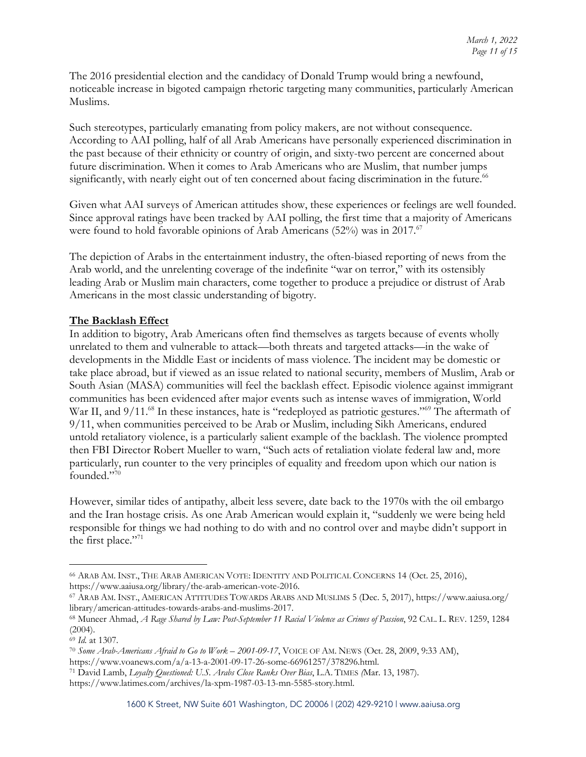The 2016 presidential election and the candidacy of Donald Trump would bring a newfound, noticeable increase in bigoted campaign rhetoric targeting many communities, particularly American Muslims.

Such stereotypes, particularly emanating from policy makers, are not without consequence. According to AAI polling, half of all Arab Americans have personally experienced discrimination in the past because of their ethnicity or country of origin, and sixty-two percent are concerned about future discrimination. When it comes to Arab Americans who are Muslim, that number jumps significantly, with nearly eight out of ten concerned about facing discrimination in the future.<sup>66</sup>

Given what AAI surveys of American attitudes show, these experiences or feelings are well founded. Since approval ratings have been tracked by AAI polling, the first time that a majority of Americans were found to hold favorable opinions of Arab Americans (52%) was in 2017.<sup>67</sup>

The depiction of Arabs in the entertainment industry, the often-biased reporting of news from the Arab world, and the unrelenting coverage of the indefinite "war on terror," with its ostensibly leading Arab or Muslim main characters, come together to produce a prejudice or distrust of Arab Americans in the most classic understanding of bigotry.

## **The Backlash Effect**

In addition to bigotry, Arab Americans often find themselves as targets because of events wholly unrelated to them and vulnerable to attack—both threats and targeted attacks—in the wake of developments in the Middle East or incidents of mass violence. The incident may be domestic or take place abroad, but if viewed as an issue related to national security, members of Muslim, Arab or South Asian (MASA) communities will feel the backlash effect. Episodic violence against immigrant communities has been evidenced after major events such as intense waves of immigration, World War II, and 9/11.<sup>68</sup> In these instances, hate is "redeployed as patriotic gestures."<sup>69</sup> The aftermath of 9/11, when communities perceived to be Arab or Muslim, including Sikh Americans, endured untold retaliatory violence, is a particularly salient example of the backlash. The violence prompted then FBI Director Robert Mueller to warn, "Such acts of retaliation violate federal law and, more particularly, run counter to the very principles of equality and freedom upon which our nation is founded."70

However, similar tides of antipathy, albeit less severe, date back to the 1970s with the oil embargo and the Iran hostage crisis. As one Arab American would explain it, "suddenly we were being held responsible for things we had nothing to do with and no control over and maybe didn't support in the first place."71

<sup>66</sup> ARAB AM. INST., THE ARAB AMERICAN VOTE: IDENTITY AND POLITICAL CONCERNS 14 (Oct. 25, 2016), https://www.aaiusa.org/library/the-arab-american-vote-2016.

<sup>67</sup> ARAB AM. INST., AMERICAN ATTITUDES TOWARDS ARABS AND MUSLIMS 5 (Dec. 5, 2017), https://www.aaiusa.org/ library/american-attitudes-towards-arabs-and-muslims-2017.

<sup>68</sup> Muneer Ahmad, *A Rage Shared by Law: Post-September 11 Racial Violence as Crimes of Passion*, 92 CAL. L. REV. 1259, 1284 (2004).

<sup>69</sup> *Id.* at 1307.

<sup>70</sup> *Some Arab-Americans Afraid to Go to Work – 2001-09-17*, VOICE OF AM. NEWS (Oct. 28, 2009, 9:33 AM), https://www.voanews.com/a/a-13-a-2001-09-17-26-some-66961257/378296.html.

<sup>71</sup> David Lamb, *Loyalty Questioned: U.S. Arabs Close Ranks Over Bias*, L.A. TIMES *(*Mar. 13, 1987).

https://www.latimes.com/archives/la-xpm-1987-03-13-mn-5585-story.html.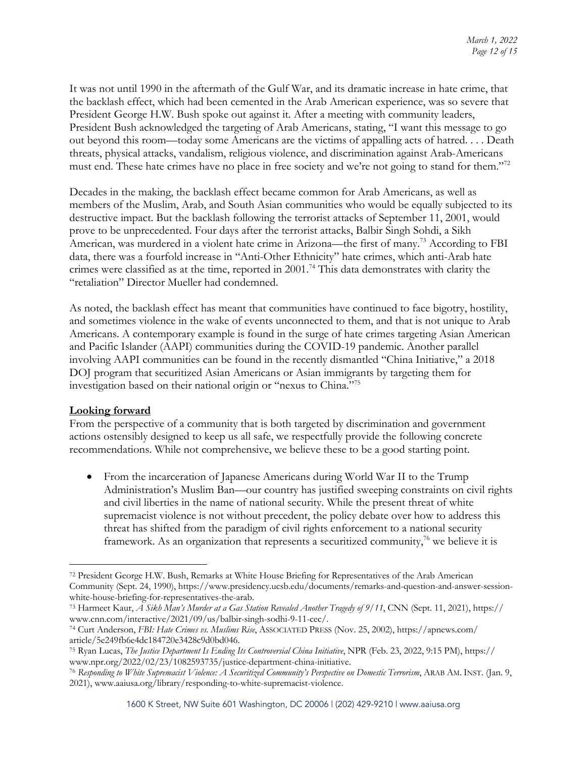It was not until 1990 in the aftermath of the Gulf War, and its dramatic increase in hate crime, that the backlash effect, which had been cemented in the Arab American experience, was so severe that President George H.W. Bush spoke out against it. After a meeting with community leaders, President Bush acknowledged the targeting of Arab Americans, stating, "I want this message to go out beyond this room—today some Americans are the victims of appalling acts of hatred. . . . Death threats, physical attacks, vandalism, religious violence, and discrimination against Arab-Americans must end. These hate crimes have no place in free society and we're not going to stand for them."<sup>72</sup>

Decades in the making, the backlash effect became common for Arab Americans, as well as members of the Muslim, Arab, and South Asian communities who would be equally subjected to its destructive impact. But the backlash following the terrorist attacks of September 11, 2001, would prove to be unprecedented. Four days after the terrorist attacks, Balbir Singh Sohdi, a Sikh American, was murdered in a violent hate crime in Arizona—the first of many.<sup>73</sup> According to FBI data, there was a fourfold increase in "Anti-Other Ethnicity" hate crimes, which anti-Arab hate crimes were classified as at the time, reported in 2001. <sup>74</sup> This data demonstrates with clarity the "retaliation" Director Mueller had condemned.

As noted, the backlash effect has meant that communities have continued to face bigotry, hostility, and sometimes violence in the wake of events unconnected to them, and that is not unique to Arab Americans. A contemporary example is found in the surge of hate crimes targeting Asian American and Pacific Islander (AAPI) communities during the COVID-19 pandemic. Another parallel involving AAPI communities can be found in the recently dismantled "China Initiative," a 2018 DOJ program that securitized Asian Americans or Asian immigrants by targeting them for investigation based on their national origin or "nexus to China."75

### **Looking forward**

From the perspective of a community that is both targeted by discrimination and government actions ostensibly designed to keep us all safe, we respectfully provide the following concrete recommendations. While not comprehensive, we believe these to be a good starting point.

• From the incarceration of Japanese Americans during World War II to the Trump Administration's Muslim Ban—our country has justified sweeping constraints on civil rights and civil liberties in the name of national security. While the present threat of white supremacist violence is not without precedent, the policy debate over how to address this threat has shifted from the paradigm of civil rights enforcement to a national security framework. As an organization that represents a securitized community, $\frac{7}{6}$  we believe it is

<sup>72</sup> President George H.W. Bush, Remarks at White House Briefing for Representatives of the Arab American Community (Sept. 24, 1990), https://www.presidency.ucsb.edu/documents/remarks-and-question-and-answer-sessionwhite-house-briefing-for-representatives-the-arab.

<sup>73</sup> Harmeet Kaur, *A Sikh Man's Murder at a Gas Station Revealed Another Tragedy of 9/11*, CNN (Sept. 11, 2021), https:// www.cnn.com/interactive/2021/09/us/balbir-singh-sodhi-9-11-cec/. 74 Curt Anderson, *FBI: Hate Crimes vs. Muslims Rise*, ASSOCIATED PRESS (Nov. 25, 2002), https://apnews.com/

article/5e249fb6e4dc184720e3428c9d0bd046.

<sup>75</sup> Ryan Lucas, *The Justice Department Is Ending Its Controversial China Initiative*, NPR (Feb. 23, 2022, 9:15 PM), https://

<sup>&</sup>lt;sup>76</sup> Responding to White Supremacist Violence: A Securitized Community's Perspective on Domestic Terrorism, ARAB AM. INST. (Jan. 9, 2021), www.aaiusa.org/library/responding-to-white-supremacist-violence.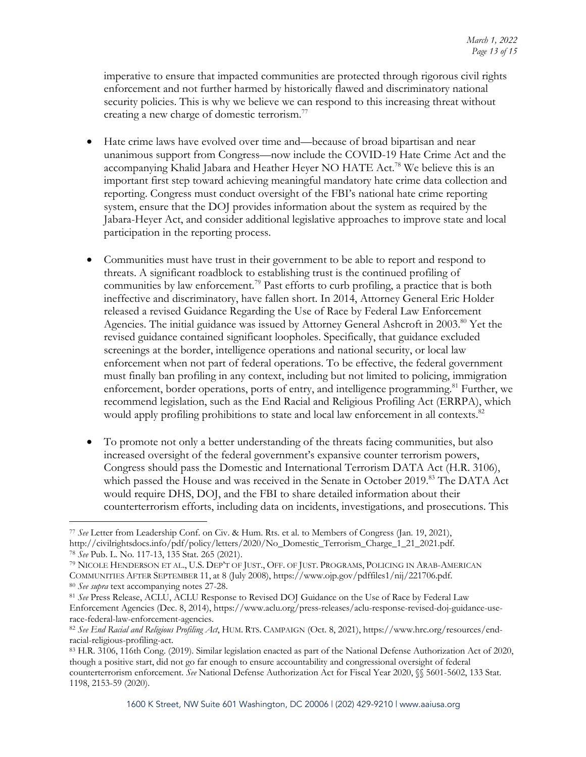imperative to ensure that impacted communities are protected through rigorous civil rights enforcement and not further harmed by historically flawed and discriminatory national security policies. This is why we believe we can respond to this increasing threat without creating a new charge of domestic terrorism.<sup>77</sup>

- Hate crime laws have evolved over time and—because of broad bipartisan and near unanimous support from Congress—now include the COVID-19 Hate Crime Act and the accompanying Khalid Jabara and Heather Heyer NO HATE Act.78 We believe this is an important first step toward achieving meaningful mandatory hate crime data collection and reporting. Congress must conduct oversight of the FBI's national hate crime reporting system, ensure that the DOJ provides information about the system as required by the Jabara-Heyer Act, and consider additional legislative approaches to improve state and local participation in the reporting process.
- Communities must have trust in their government to be able to report and respond to threats. A significant roadblock to establishing trust is the continued profiling of communities by law enforcement.<sup>79</sup> Past efforts to curb profiling, a practice that is both ineffective and discriminatory, have fallen short. In 2014, Attorney General Eric Holder released a revised Guidance Regarding the Use of Race by Federal Law Enforcement Agencies. The initial guidance was issued by Attorney General Ashcroft in 2003.<sup>80</sup> Yet the revised guidance contained significant loopholes. Specifically, that guidance excluded screenings at the border, intelligence operations and national security, or local law enforcement when not part of federal operations. To be effective, the federal government must finally ban profiling in any context, including but not limited to policing, immigration enforcement, border operations, ports of entry, and intelligence programming.<sup>81</sup> Further, we recommend legislation, such as the End Racial and Religious Profiling Act (ERRPA), which would apply profiling prohibitions to state and local law enforcement in all contexts.<sup>82</sup>
- To promote not only a better understanding of the threats facing communities, but also increased oversight of the federal government's expansive counter terrorism powers, Congress should pass the Domestic and International Terrorism DATA Act (H.R. 3106), which passed the House and was received in the Senate in October 2019. <sup>83</sup> The DATA Act would require DHS, DOJ, and the FBI to share detailed information about their counterterrorism efforts, including data on incidents, investigations, and prosecutions. This

<sup>77</sup> *See* Letter from Leadership Conf. on Civ. & Hum. Rts. et al. to Members of Congress (Jan. 19, 2021), http://civilrightsdocs.info/pdf/policy/letters/2020/No\_Domestic\_Terrorism\_Charge\_1\_21\_2021.pdf. 78 *See* Pub. L. No. 117-13, 135 Stat. 265 (2021).

<sup>79</sup> NICOLE HENDERSON ET AL., U.S. DEP'T OF JUST., OFF. OF JUST. PROGRAMS, POLICING IN ARAB-AMERICAN COMMUNITIES AFTER SEPTEMBER 11, at 8 (July 2008), https://www.ojp.gov/pdffiles1/nij/221706.pdf. 80 *See supra* text accompanying notes 27-28.

<sup>81</sup> *See* Press Release, ACLU, ACLU Response to Revised DOJ Guidance on the Use of Race by Federal Law Enforcement Agencies (Dec. 8, 2014), https://www.aclu.org/press-releases/aclu-response-revised-doj-guidance-userace-federal-law-enforcement-agencies.

<sup>82</sup> *See End Racial and Religious Profiling Act*, HUM. RTS. CAMPAIGN (Oct. 8, 2021), https://www.hrc.org/resources/endracial-religious-profiling-act.<br><sup>83</sup> H.R. 3106, 116th Cong. (2019). Similar legislation enacted as part of the National Defense Authorization Act of 2020,

though a positive start, did not go far enough to ensure accountability and congressional oversight of federal counterterrorism enforcement. *See* National Defense Authorization Act for Fiscal Year 2020, §§ 5601-5602, 133 Stat. 1198, 2153-59 (2020).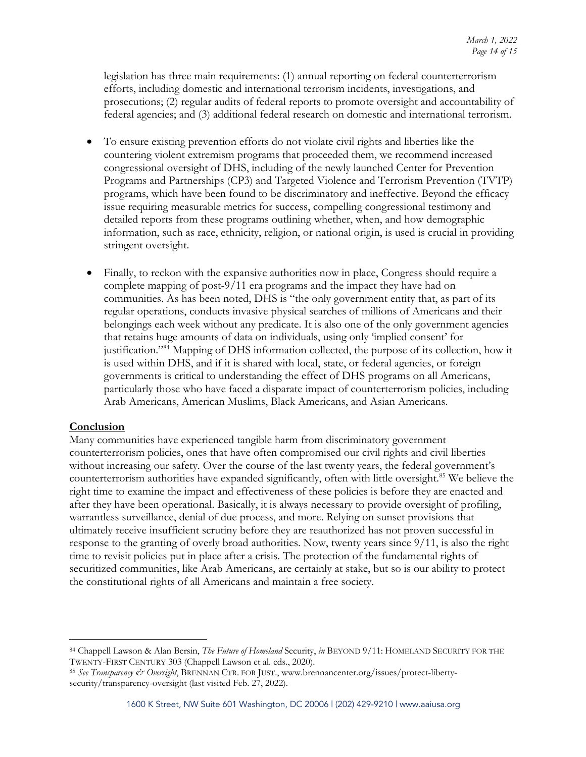legislation has three main requirements: (1) annual reporting on federal counterterrorism efforts, including domestic and international terrorism incidents, investigations, and prosecutions; (2) regular audits of federal reports to promote oversight and accountability of federal agencies; and (3) additional federal research on domestic and international terrorism.

- To ensure existing prevention efforts do not violate civil rights and liberties like the countering violent extremism programs that proceeded them, we recommend increased congressional oversight of DHS, including of the newly launched Center for Prevention Programs and Partnerships (CP3) and Targeted Violence and Terrorism Prevention (TVTP) programs, which have been found to be discriminatory and ineffective. Beyond the efficacy issue requiring measurable metrics for success, compelling congressional testimony and detailed reports from these programs outlining whether, when, and how demographic information, such as race, ethnicity, religion, or national origin, is used is crucial in providing stringent oversight.
- Finally, to reckon with the expansive authorities now in place, Congress should require a complete mapping of post-9/11 era programs and the impact they have had on communities. As has been noted, DHS is "the only government entity that, as part of its regular operations, conducts invasive physical searches of millions of Americans and their belongings each week without any predicate. It is also one of the only government agencies that retains huge amounts of data on individuals, using only 'implied consent' for justification."84 Mapping of DHS information collected, the purpose of its collection, how it is used within DHS, and if it is shared with local, state, or federal agencies, or foreign governments is critical to understanding the effect of DHS programs on all Americans, particularly those who have faced a disparate impact of counterterrorism policies, including Arab Americans, American Muslims, Black Americans, and Asian Americans.

### **Conclusion**

Many communities have experienced tangible harm from discriminatory government counterterrorism policies, ones that have often compromised our civil rights and civil liberties without increasing our safety. Over the course of the last twenty years, the federal government's counterterrorism authorities have expanded significantly, often with little oversight. <sup>85</sup> We believe the right time to examine the impact and effectiveness of these policies is before they are enacted and after they have been operational. Basically, it is always necessary to provide oversight of profiling, warrantless surveillance, denial of due process, and more. Relying on sunset provisions that ultimately receive insufficient scrutiny before they are reauthorized has not proven successful in response to the granting of overly broad authorities. Now, twenty years since 9/11, is also the right time to revisit policies put in place after a crisis. The protection of the fundamental rights of securitized communities, like Arab Americans, are certainly at stake, but so is our ability to protect the constitutional rights of all Americans and maintain a free society.

<sup>84</sup> Chappell Lawson & Alan Bersin, *The Future of Homeland* Security, *in* BEYOND 9/11: HOMELAND SECURITY FOR THE TWENTY-FIRST CENTURY 303 (Chappell Lawson et al. eds., 2020).

<sup>85</sup> *See Transparency & Oversight*, BRENNAN CTR. FOR JUST., www.brennancenter.org/issues/protect-libertysecurity/transparency-oversight (last visited Feb. 27, 2022).